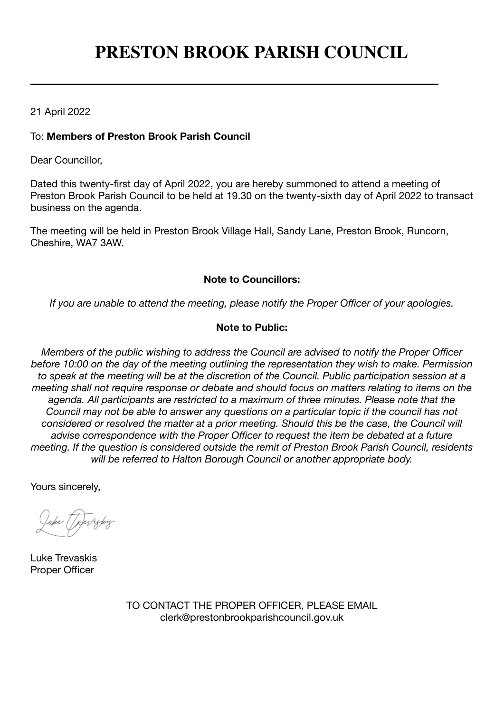# **PRESTON BROOK PARISH COUNCIL**

# 21 April 2022

## To: **Members of Preston Brook Parish Council**

Dear Councillor,

Dated this twenty-first day of April 2022, you are hereby summoned to attend a meeting of Preston Brook Parish Council to be held at 19.30 on the twenty-sixth day of April 2022 to transact business on the agenda.

The meeting will be held in Preston Brook Village Hall, Sandy Lane, Preston Brook, Runcorn, Cheshire, WA7 3AW.

# **Note to Councillors:**

*If you are unable to attend the meeting, please notify the Proper Officer of your apologies.*

## **Note to Public:**

*Members of the public wishing to address the Council are advised to notify the Proper Officer before 10:00 on the day of the meeting outlining the representation they wish to make. Permission to speak at the meeting will be at the discretion of the Council. Public participation session at a meeting shall not require response or debate and should focus on matters relating to items on the agenda. All participants are restricted to a maximum of three minutes. Please note that the Council may not be able to answer any questions on a particular topic if the council has not considered or resolved the matter at a prior meeting. Should this be the case, the Council will advise correspondence with the Proper Officer to request the item be debated at a future meeting. If the question is considered outside the remit of Preston Brook Parish Council, residents will be referred to Halton Borough Council or another appropriate body.*

Yours sincerely,

Luke Trevaskis Proper Officer

TO CONTACT THE PROPER OFFICER, PLEASE EMAIL [clerk@prestonbrookparishcouncil.gov.uk](mailto:clerk@prestonbrookparishcouncil.gov.uk)